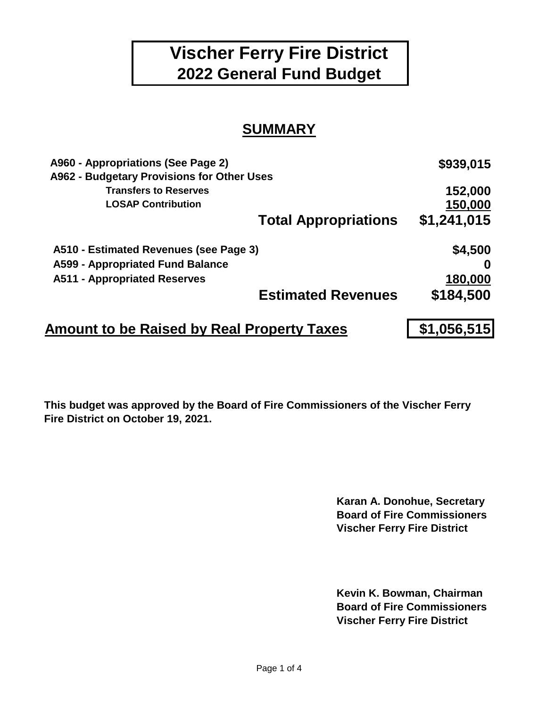# **Vischer Ferry Fire District 2022 General Fund Budget**

### **SUMMARY**

| A960 - Appropriations (See Page 2)                | \$939,015   |
|---------------------------------------------------|-------------|
| A962 - Budgetary Provisions for Other Uses        |             |
| <b>Transfers to Reserves</b>                      | 152,000     |
| <b>LOSAP Contribution</b>                         | 150,000     |
| <b>Total Appropriations</b>                       | \$1,241,015 |
| A510 - Estimated Revenues (see Page 3)            | \$4,500     |
| A599 - Appropriated Fund Balance                  |             |
| <b>A511 - Appropriated Reserves</b>               | 180,000     |
| <b>Estimated Revenues</b>                         | \$184,500   |
| <b>Amount to be Raised by Real Property Taxes</b> | \$1,056,515 |

**This budget was approved by the Board of Fire Commissioners of the Vischer Ferry Fire District on October 19, 2021.**

> **Karan A. Donohue, Secretary Board of Fire Commissioners Vischer Ferry Fire District**

> **Kevin K. Bowman, Chairman Board of Fire Commissioners Vischer Ferry Fire District**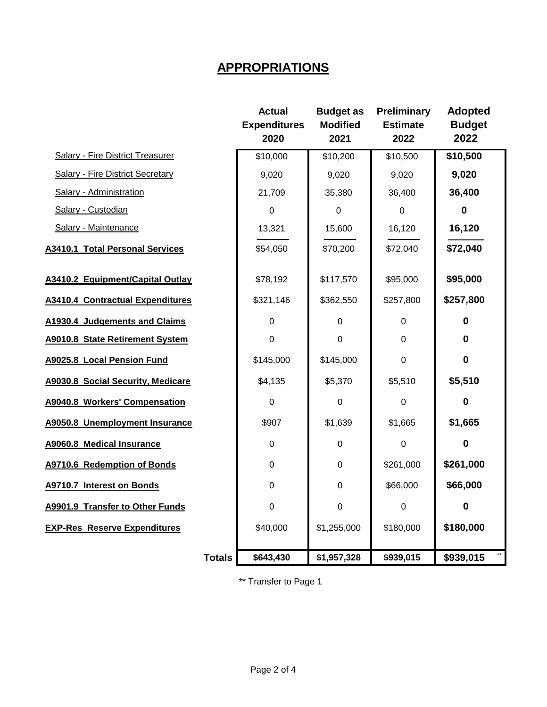#### **APPROPRIATIONS**

|                                         |               | <b>Actual</b><br><b>Expenditures</b><br>2020 | <b>Budget as</b><br><b>Modified</b><br>2021 | <b>Preliminary</b><br><b>Estimate</b><br>2022 | <b>Adopted</b><br><b>Budget</b><br>2022 |
|-----------------------------------------|---------------|----------------------------------------------|---------------------------------------------|-----------------------------------------------|-----------------------------------------|
| <b>Salary - Fire District Treasurer</b> |               | \$10,000                                     | \$10,200                                    | \$10,500                                      | \$10,500                                |
| <b>Salary - Fire District Secretary</b> |               | 9,020                                        | 9,020                                       | 9,020                                         | 9,020                                   |
| <b>Salary - Administration</b>          |               | 21,709                                       | 35,380                                      | 36,400                                        | 36,400                                  |
| Salary - Custodian                      |               | $\mathbf 0$                                  | $\mathbf 0$                                 | $\Omega$                                      | 0                                       |
| Salary - Maintenance                    |               | 13,321                                       | 15,600                                      | 16,120                                        | 16,120                                  |
| <b>A3410.1 Total Personal Services</b>  |               | \$54,050                                     | \$70,200                                    | \$72,040                                      | \$72,040                                |
| A3410.2 Equipment/Capital Outlay        |               | \$78,192                                     | \$117,570                                   | \$95,000                                      | \$95,000                                |
| <b>A3410.4 Contractual Expenditures</b> |               | \$321,146                                    | \$362,550                                   | \$257,800                                     | \$257,800                               |
| A1930.4 Judgements and Claims           |               | 0                                            | 0                                           | $\boldsymbol{0}$                              | 0                                       |
| A9010.8 State Retirement System         |               | 0                                            | $\overline{0}$                              | $\mathbf 0$                                   | $\bf{0}$                                |
| A9025.8 Local Pension Fund              |               | \$145,000                                    | \$145,000                                   | $\mathbf 0$                                   | $\mathbf 0$                             |
| A9030.8 Social Security, Medicare       |               | \$4,135                                      | \$5,370                                     | \$5,510                                       | \$5,510                                 |
| A9040.8 Workers' Compensation           |               | $\mathbf 0$                                  | $\Omega$                                    | $\mathbf 0$                                   | $\bf{0}$                                |
| A9050.8 Unemployment Insurance          |               | \$907                                        | \$1,639                                     | \$1,665                                       | \$1,665                                 |
| <b>A9060.8 Medical Insurance</b>        |               | 0                                            | 0                                           | 0                                             | 0                                       |
| A9710.6 Redemption of Bonds             |               | $\mathbf 0$                                  | $\mathbf 0$                                 | \$261,000                                     | \$261,000                               |
| A9710.7 Interest on Bonds               |               | 0                                            | $\mathbf 0$                                 | \$66,000                                      | \$66,000                                |
| A9901.9 Transfer to Other Funds         |               | 0                                            | $\mathbf 0$                                 | 0                                             | 0                                       |
| <b>EXP-Res Reserve Expenditures</b>     |               | \$40,000                                     | \$1,255,000                                 | \$180,000                                     | \$180,000                               |
|                                         | <b>Totals</b> | \$643,430                                    | \$1,957,328                                 | \$939,015                                     | \$939,015                               |

\*\* Transfer to Page 1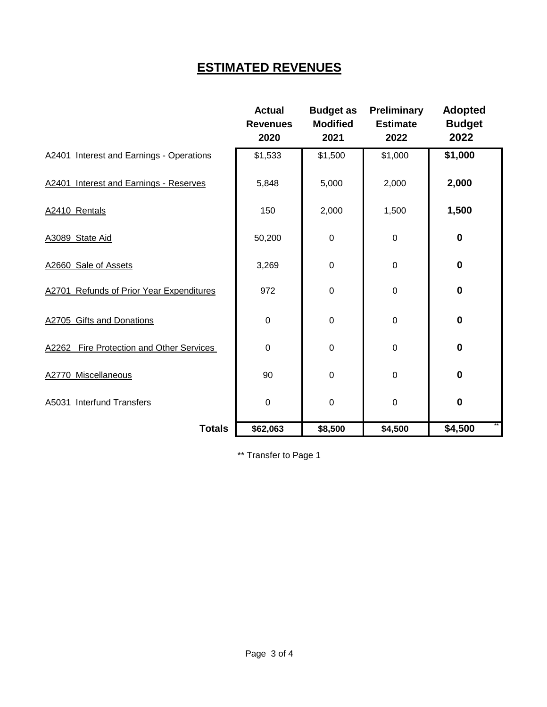## **ESTIMATED REVENUES**

|                                          | <b>Actual</b><br><b>Revenues</b><br>2020 | <b>Budget as</b><br><b>Modified</b><br>2021 | Preliminary<br><b>Estimate</b><br>2022 | <b>Adopted</b><br><b>Budget</b><br>2022 |
|------------------------------------------|------------------------------------------|---------------------------------------------|----------------------------------------|-----------------------------------------|
| A2401 Interest and Earnings - Operations | \$1,533                                  | \$1,500                                     | \$1,000                                | \$1,000                                 |
| A2401 Interest and Earnings - Reserves   | 5,848                                    | 5,000                                       | 2,000                                  | 2,000                                   |
| A2410 Rentals                            | 150                                      | 2,000                                       | 1,500                                  | 1,500                                   |
| A3089 State Aid                          | 50,200                                   | 0                                           | $\mathbf 0$                            | $\mathbf 0$                             |
| A2660 Sale of Assets                     | 3,269                                    | 0                                           | $\mathbf 0$                            | $\bf{0}$                                |
| A2701 Refunds of Prior Year Expenditures | 972                                      | 0                                           | $\mathbf 0$                            | $\bf{0}$                                |
| A2705 Gifts and Donations                | 0                                        | 0                                           | $\mathbf 0$                            | $\bf{0}$                                |
| A2262 Fire Protection and Other Services | 0                                        | 0                                           | $\mathsf 0$                            | $\bf{0}$                                |
| A2770 Miscellaneous                      | 90                                       | 0                                           | $\mathsf 0$                            | $\bf{0}$                                |
| A5031 Interfund Transfers                | $\mathbf 0$                              | 0                                           | $\mathbf 0$                            | $\bf{0}$                                |
| <b>Totals</b>                            | \$62,063                                 | \$8,500                                     | \$4,500                                | \$4,500                                 |

\*\* Transfer to Page 1